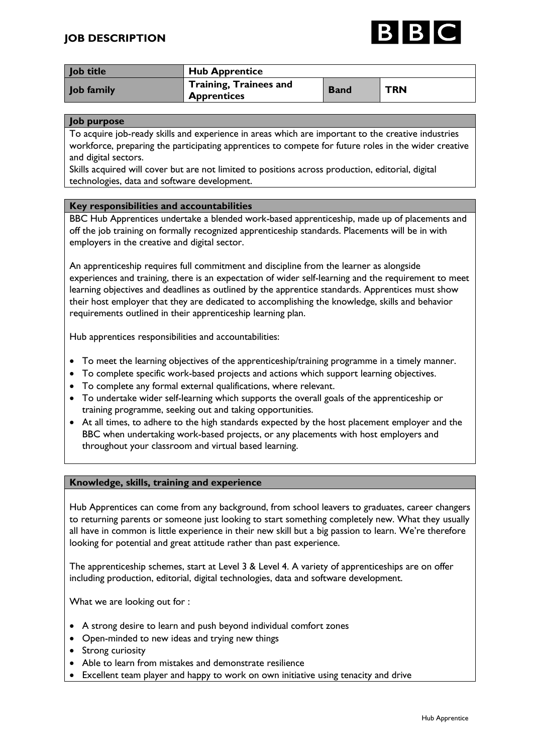# **JOB DESCRIPTION**



| Job title  | <b>Hub Apprentice</b>                              |             |            |
|------------|----------------------------------------------------|-------------|------------|
| Job family | Training, Trainees and<br><sup>1</sup> Apprentices | <b>Band</b> | <b>TRN</b> |

#### **Job purpose**

To acquire job-ready skills and experience in areas which are important to the creative industries workforce, preparing the participating apprentices to compete for future roles in the wider creative and digital sectors.

Skills acquired will cover but are not limited to positions across production, editorial, digital technologies, data and software development.

#### **Key responsibilities and accountabilities**

BBC Hub Apprentices undertake a blended work-based apprenticeship, made up of placements and off the job training on formally recognized apprenticeship standards. Placements will be in with employers in the creative and digital sector.

An apprenticeship requires full commitment and discipline from the learner as alongside experiences and training, there is an expectation of wider self-learning and the requirement to meet learning objectives and deadlines as outlined by the apprentice standards. Apprentices must show their host employer that they are dedicated to accomplishing the knowledge, skills and behavior requirements outlined in their apprenticeship learning plan.

Hub apprentices responsibilities and accountabilities:

- To meet the learning objectives of the apprenticeship/training programme in a timely manner.
- To complete specific work-based projects and actions which support learning objectives.
- To complete any formal external qualifications, where relevant.
- To undertake wider self-learning which supports the overall goals of the apprenticeship or training programme, seeking out and taking opportunities.
- At all times, to adhere to the high standards expected by the host placement employer and the BBC when undertaking work-based projects, or any placements with host employers and throughout your classroom and virtual based learning.

#### **Knowledge, skills, training and experience**

Hub Apprentices can come from any background, from school leavers to graduates, career changers to returning parents or someone just looking to start something completely new. What they usually all have in common is little experience in their new skill but a big passion to learn. We're therefore looking for potential and great attitude rather than past experience.

The apprenticeship schemes, start at Level 3 & Level 4. A variety of apprenticeships are on offer including production, editorial, digital technologies, data and software development.

What we are looking out for :

- A strong desire to learn and push beyond individual comfort zones
- Open-minded to new ideas and trying new things
- Strong curiosity
- Able to learn from mistakes and demonstrate resilience
- Excellent team player and happy to work on own initiative using tenacity and drive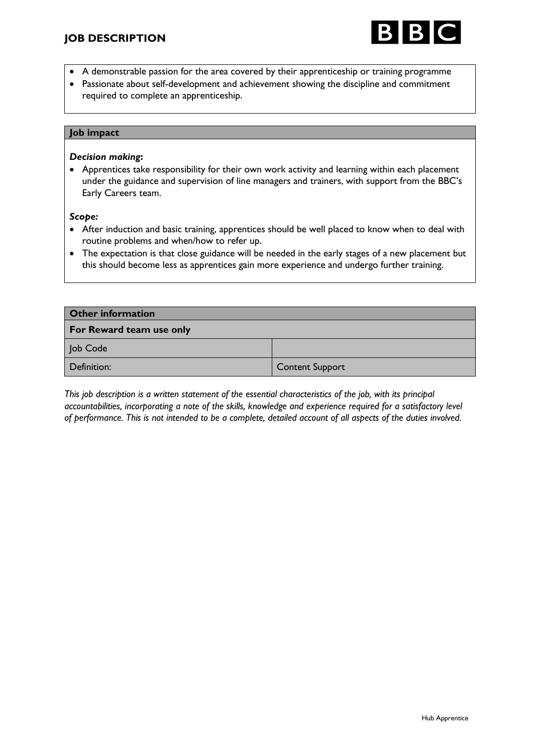

- A demonstrable passion for the area covered by their apprenticeship or training programme
- Passionate about self-development and achievement showing the discipline and commitment required to complete an apprenticeship.

### **Job impact**

#### *Decision making***:**

• Apprentices take responsibility for their own work activity and learning within each placement under the guidance and supervision of line managers and trainers, with support from the BBC's Early Careers team.

#### *Scope:*

- After induction and basic training, apprentices should be well placed to know when to deal with routine problems and when/how to refer up.
- The expectation is that close guidance will be needed in the early stages of a new placement but this should become less as apprentices gain more experience and undergo further training.

| <b>Other information</b> |                        |  |  |
|--------------------------|------------------------|--|--|
| For Reward team use only |                        |  |  |
| Job Code                 |                        |  |  |
| Definition:              | <b>Content Support</b> |  |  |

*This job description is a written statement of the essential characteristics of the job, with its principal accountabilities, incorporating a note of the skills, knowledge and experience required for a satisfactory level of performance. This is not intended to be a complete, detailed account of all aspects of the duties involved.*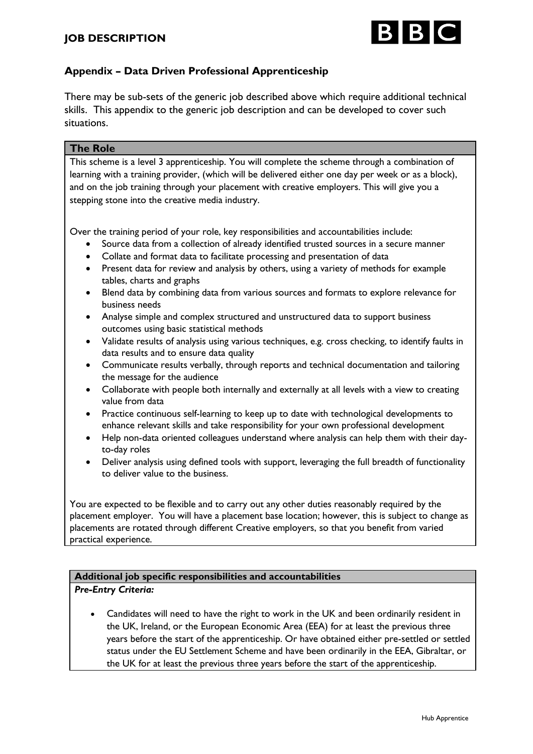

# **Appendix – Data Driven Professional Apprenticeship**

There may be sub-sets of the generic job described above which require additional technical skills. This appendix to the generic job description and can be developed to cover such situations.

### **The Role**

This scheme is a level 3 apprenticeship. You will complete the scheme through a combination of learning with a training provider, (which will be delivered either one day per week or as a block), and on the job training through your placement with creative employers. This will give you a stepping stone into the creative media industry.

Over the training period of your role, key responsibilities and accountabilities include:

- Source data from a collection of already identified trusted sources in a secure manner
- Collate and format data to facilitate processing and presentation of data
- Present data for review and analysis by others, using a variety of methods for example tables, charts and graphs
- Blend data by combining data from various sources and formats to explore relevance for business needs
- Analyse simple and complex structured and unstructured data to support business outcomes using basic statistical methods
- Validate results of analysis using various techniques, e.g. cross checking, to identify faults in data results and to ensure data quality
- Communicate results verbally, through reports and technical documentation and tailoring the message for the audience
- Collaborate with people both internally and externally at all levels with a view to creating value from data
- Practice continuous self-learning to keep up to date with technological developments to enhance relevant skills and take responsibility for your own professional development
- Help non-data oriented colleagues understand where analysis can help them with their dayto-day roles
- Deliver analysis using defined tools with support, leveraging the full breadth of functionality to deliver value to the business.

You are expected to be flexible and to carry out any other duties reasonably required by the placement employer. You will have a placement base location; however, this is subject to change as placements are rotated through different Creative employers, so that you benefit from varied practical experience.

### **Additional job specific responsibilities and accountabilities**

### *Pre-Entry Criteria:*

• Candidates will need to have the right to work in the UK and been ordinarily resident in the UK, Ireland, or the European Economic Area (EEA) for at least the previous three years before the start of the apprenticeship. Or have obtained either pre-settled or settled status under the EU Settlement Scheme and have been ordinarily in the EEA, Gibraltar, or the UK for at least the previous three years before the start of the apprenticeship.